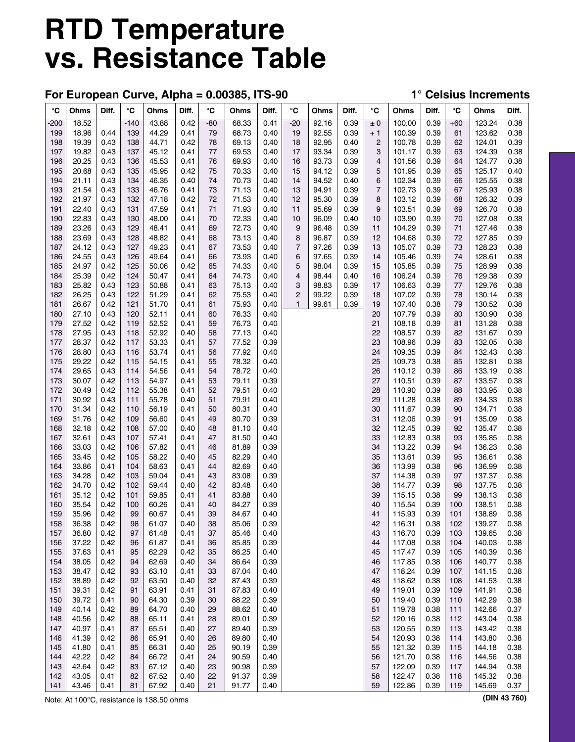# **RTD Temperature vs. Resistance Table**

### **For European Curve, Alpha = 0.00385, ITS-90 1° Celsius Increments**

| $^{\circ}$ C | Ohms           | Diff.        | $\rm ^{\circ}C$ | Ohms           | Diff.        | $^{\circ}$ C | Ohms           | Diff.        | $^{\circ}$ C            | Ohms           | Diff.        | $^{\circ}$ C   | Ohms             | Diff.        | $^{\circ}$ C | Ohms             | Diff.        |
|--------------|----------------|--------------|-----------------|----------------|--------------|--------------|----------------|--------------|-------------------------|----------------|--------------|----------------|------------------|--------------|--------------|------------------|--------------|
| $-200$       | 18.52          |              | $-140$          | 43.88          | 0.42         | $-80$        | 68.33          | 0.41         | $-20$                   | 92.16          | 0.39         | $\pm 0$        | 100.00           | 0.39         | $+60$        | 123.24           | 0.38         |
| 199          | 18.96          | 0.44         | 139             | 44.29          | 0.41         | 79           | 68.73          | 0.40         | 19                      | 92.55          | 0.39         | $+1$           | 100.39           | 0.39         | 61           | 123.62           | 0.38         |
| 198          | 19.39          | 0.43         | 138             | 44.71          | 0.42         | 78           | 69.13          | 0.40         | 18                      | 92.95          | 0.40         | $\overline{c}$ | 100.78           | 0.39         | 62           | 124.01           | 0.39         |
| 197          | 19.82          | 0.43         | 137             | 45.12          | 0.41         | 77           | 69.53          | 0.40         | 17                      | 93.34          | 0.39         | 3              | 101.17           | 0.39         | 63           | 124.39           | 0.38         |
| 196          | 20.25          | 0.43         | 136             | 45.53          | 0.41         | 76           | 69.93          | 0.40         | 16                      | 93.73          | 0.39         | 4              | 101.56           | 0.39         | 64           | 124.77           | 0.38         |
| 195          | 20.68          | 0.43         | 135             | 45.95          | 0.42         | 75           | 70.33          | 0.40         | 15                      | 94.12          | 0.39         | 5              | 101.95           | 0.39         | 65           | 125.17           | 0.40         |
| 194          | 21.11          | 0.43         | 134             | 46.35          | 0.40         | 74           | 70.73          | 0.40         | 14                      | 94.52          | 0.40         | 6              | 102.34           | 0.39         | 66           | 125.55           | 0.38         |
| 193          | 21.54          | 0.43         | 133             | 46.76          | 0.41         | 73           | 71.13          | 0.40         | 13                      | 94.91          | 0.39         | $\overline{7}$ | 102.73           | 0.39         | 67           | 125.93           | 0.38         |
| 192          | 21.97          | 0.43         | 132             | 47.18          | 0.42         | 72           | 71.53          | 0.40         | 12                      | 95.30          | 0.39         | 8              | 103.12           | 0.39         | 68           | 126.32           | 0.39         |
| 191<br>190   | 22.40<br>22.83 | 0.43<br>0.43 | 131<br>130      | 47.59<br>48.00 | 0.41<br>0.41 | 71<br>70     | 71.93<br>72.33 | 0.40<br>0.40 | 11<br>10                | 95.69<br>96.09 | 0.39<br>0.40 | 9<br>10        | 103.51<br>103.90 | 0.39<br>0.39 | 69<br>70     | 126.70<br>127.08 | 0.38<br>0.38 |
| 189          | 23.26          | 0.43         | 129             | 48.41          | 0.41         | 69           | 72.73          | 0.40         | 9                       | 96.48          | 0.39         | 11             | 104.29           | 0.39         | 71           | 127.46           | 0.38         |
| 188          | 23.69          | 0.43         | 128             | 48.82          | 0.41         | 68           | 73.13          | 0.40         | 8                       | 96.87          | 0.39         | 12             | 104.68           | 0.39         | 72           | 127.85           | 0.39         |
| 187          | 24.12          | 0.43         | 127             | 49.23          | 0.41         | 67           | 73.53          | 0.40         | $\overline{7}$          | 97.26          | 0.39         | 13             | 105.07           | 0.39         | 73           | 128.23           | 0.38         |
| 186          | 24.55          | 0.43         | 126             | 49.64          | 0.41         | 66           | 73.93          | 0.40         | 6                       | 97.65          | 0.39         | 14             | 105.46           | 0.39         | 74           | 128.61           | 0.38         |
| 185          | 24.97          | 0.42         | 125             | 50.06          | 0.42         | 65           | 74.33          | 0.40         | 5                       | 98.04          | 0.39         | 15             | 105.85           | 0.39         | 75           | 128.99           | 0.38         |
| 184          | 25.39          | 0.42         | 124             | 50.47          | 0.41         | 64           | 74.73          | 0.40         | $\overline{\mathbf{4}}$ | 98.44          | 0.40         | 16             | 106.24           | 0.39         | 76           | 129.38           | 0.39         |
| 183          | 25.82          | 0.43         | 123             | 50.88          | 0.41         | 63           | 75.13          | 0.40         | 3                       | 98.83          | 0.39         | 17             | 106.63           | 0.39         | 77           | 129.76           | 0.38         |
| 182          | 26.25          | 0.43         | 122             | 51.29          | 0.41         | 62           | 75.53          | 0.40         | 2                       | 99.22          | 0.39         | 18             | 107.02           | 0.39         | 78           | 130.14           | 0.38         |
| 181          | 26.67          | 0.42         | 121             | 51.70          | 0.41         | 61           | 75.93          | 0.40         | $\mathbf{1}$            | 99.61          | 0.39         | 19             | 107.40           | 0.38         | 79           | 130.52           | 0.38         |
| 180          | 27.10          | 0.43         | 120             | 52.11          | 0.41         | 60           | 76.33          | 0.40         |                         |                |              | 20             | 107.79           | 0.39         | 80           | 130.90           | 0.38         |
| 179          | 27.52          | 0.42         | 119             | 52.52          | 0.41         | 59           | 76.73          | 0.40         |                         |                |              | 21             | 108.18           | 0.39         | 81           | 131.28           | 0.38         |
| 178          | 27.95          | 0.43         | 118             | 52.92          | 0.40         | 58           | 77.13          | 0.40         |                         |                |              | 22             | 108.57           | 0.39         | 82           | 131.67           | 0.39         |
| 177          | 28.37          | 0.42         | 117             | 53.33          | 0.41         | 57           | 77.52          | 0.39         |                         |                |              | 23             | 108.96           | 0.39         | 83           | 132.05           | 0.38         |
| 176          | 28.80          | 0.43         | 116             | 53.74          | 0.41         | 56           | 77.92          | 0.40         |                         |                |              | 24             | 109.35           | 0.39         | 84           | 132.43           | 0.38         |
| 175          | 29.22          | 0.42         | 115             | 54.15          | 0.41         | 55           | 78.32          | 0.40         |                         |                |              | 25             | 109.73           | 0.38         | 85           | 132.81           | 0.38         |
| 174          | 29.65          | 0.43         | 114             | 54.56          | 0.41         | 54           | 78.72          | 0.40         |                         |                |              | 26             | 110.12           | 0.39         | 86           | 133.19           | 0.38         |
| 173          | 30.07          | 0.42         | 113             | 54.97          | 0.41         | 53           | 79.11          | 0.39         |                         |                |              | 27             | 110.51           | 0.39         | 87           | 133.57           | 0.38         |
| 172          | 30.49          | 0.42         | 112             | 55.38          | 0.41         | 52           | 79.51          | 0.40         |                         |                |              | 28             | 110.90           | 0.39         | 88           | 133.95           | 0.38         |
| 171          | 30.92          | 0.43         | 111             | 55.78          | 0.40         | 51           | 79.91          | 0.40         |                         |                |              | 29             | 111.28           | 0.38         | 89           | 134.33           | 0.38         |
| 170<br>169   | 31.34<br>31.76 | 0.42<br>0.42 | 110<br>109      | 56.19<br>56.60 | 0.41<br>0.41 | 50<br>49     | 80.31<br>80.70 | 0.40<br>0.39 |                         |                |              | 30<br>31       | 111.67<br>112.06 | 0.39<br>0.39 | 90<br>91     | 134.71<br>135.09 | 0.38<br>0.38 |
| 168          | 32.18          | 0.42         | 108             | 57.00          | 0.40         | 48           | 81.10          | 0.40         |                         |                |              | 32             | 112.45           | 0.39         | 92           | 135.47           | 0.38         |
| 167          | 32.61          | 0.43         | 107             | 57.41          | 0.41         | 47           | 81.50          | 0.40         |                         |                |              | 33             | 112.83           | 0.38         | 93           | 135.85           | 0.38         |
| 166          | 33.03          | 0.42         | 106             | 57.82          | 0.41         | 46           | 81.89          | 0.39         |                         |                |              | 34             | 113.22           | 0.39         | 94           | 136.23           | 0.38         |
| 165          | 33.45          | 0.42         | 105             | 58.22          | 0.40         | 45           | 82.29          | 0.40         |                         |                |              | 35             | 113.61           | 0.39         | 95           | 136.61           | 0.38         |
| 164          | 33.86          | 0.41         | 104             | 58.63          | 0.41         | 44           | 82.69          | 0.40         |                         |                |              | 36             | 113.99           | 0.38         | 96           | 136.99           | 0.38         |
| 163          | 34.28          | 0.42         | 103             | 59.04          | 0.41         | 43           | 83.08          | 0.39         |                         |                |              | 37             | 114.38           | 0.39         | 97           | 137.37           | 0.38         |
| 162          | 34.70          | 0.42         | 102             | 59.44          | 0.40         | 42           | 83.48          | 0.40         |                         |                |              | 38             | 114.77           | 0.39         | 98           | 137.75           | 0.38         |
| 161          | 35.12          | 0.42         | 101             | 59.85          | 0.41         | 41           | 83.88          | 0.40         |                         |                |              | 39             | 115.15           | 0.38         | 99           | 138.13           | 0.38         |
| 160          | 35.54          | 0.42         | 100             | 60.26          | 0.41         | 40           | 84.27          | 0.39         |                         |                |              | 40             | 115.54           | 0.39         | 100          | 138.51           | 0.38         |
| 159          | 35.96          | 0.42         | 99              | 60.67          | 0.41         | 39           | 84.67          | 0.40         |                         |                |              | 41             | 115.93           | 0.39         | 101          | 138.89           | 0.38         |
| 158          | 36.38          | 0.42         | 98              | 61.07          | 0.40         | 38           | 85.06          | 0.39         |                         |                |              | 42             | 116.31           | 0.38         | 102          | 139.27           | 0.38         |
| 157          | 36.80          | 0.42         | 97              | 61.48          | 0.41         | 37           | 85.46          | 0.40         |                         |                |              | 43             | 116.70           | 0.39         | 103          | 139.65           | 0.38         |
| 156          | 37.22          | 0.42         | 96              | 61.87          | 0.41         | 36           | 85.85          | 0.39         |                         |                |              | 44             | 117.08           | 0.38         | 104          | 140.03           | 0.38         |
| 155          | 37.63          | 0.41         | 95              | 62.29          | 0.42         | 35           | 86.25          | 0.40         |                         |                |              | 45             | 117.47           | 0.39         | 105          | 140.39           | 0.36         |
| 154          | 38.05          | 0.42         | 94              | 62.69          | 0.40         | 34           | 86.64          | 0.39         |                         |                |              | 46             | 117.85           | 0.38         | 106          | 140.77           | 0.38         |
| 153          | 38.47          | 0.42         | 93              | 63.10          | 0.41         | 33           | 87.04          | 0.40         |                         |                |              | 47             | 118.24           | 0.39         | 107          | 141.15           | 0.38         |
| 152          | 38.89          | 0.42         | 92              | 63.50          | 0.40         | 32           | 87.43          | 0.39         |                         |                |              | 48             | 118.62           | 0.38         | 108          | 141.53           | 0.38         |
| 151          | 39.31          | 0.42         | 91              | 63.91          | 0.41         | 31           | 87.83          | 0.40         |                         |                |              | 49             | 119.01           | 0.39         | 109          | 141.91           | 0.38         |
| 150<br>149   | 39.72<br>40.14 | 0.41<br>0.42 | 90              | 64.30<br>64.70 | 0.39<br>0.40 | 30<br>29     | 88.22<br>88.62 | 0.39<br>0.40 |                         |                |              | 50<br>51       | 119.40<br>119.78 | 0.39<br>0.38 | 110<br>111   | 142.29<br>142.66 | 0.38         |
| 148          | 40.56          | 0.42         | 89<br>88        | 65.11          | 0.41         | 28           | 89.01          | 0.39         |                         |                |              | 52             | 120.16           | 0.38         | 112          | 143.04           | 0.37<br>0.38 |
| 147          | 40.97          | 0.41         | 87              | 65.51          | 0.40         | 27           | 89.40          | 0.39         |                         |                |              | 53             | 120.55           | 0.39         | 113          | 143.42           | 0.38         |
| 146          | 41.39          | 0.42         | 86              | 65.91          | 0.40         | 26           | 89.80          | 0.40         |                         |                |              | 54             | 120.93           | 0.38         | 114          | 143.80           | 0.38         |
| 145          | 41.80          | 0.41         | 85              | 66.31          | 0.40         | 25           | 90.19          | 0.39         |                         |                |              | 55             | 121.32           | 0.39         | 115          | 144.18           | 0.38         |
| 144          | 42.22          | 0.42         | 84              | 66.72          | 0.41         | 24           | 90.59          | 0.40         |                         |                |              | 56             | 121.70           | 0.38         | 116          | 144.56           | 0.38         |
| 143          | 42.64          | 0.42         | 83              | 67.12          | 0.40         | 23           | 90.98          | 0.39         |                         |                |              | 57             | 122.09           | 0.39         | 117          | 144.94           | 0.38         |
| 142          | 43.05          | 0.41         | 82              | 67.52          | 0.40         | 22           | 91.37          | 0.39         |                         |                |              | 58             | 122.47           | 0.38         | 118          | 145.32           | 0.38         |
| 141          | 43.46          | 0.41         | 81              | 67.92          | 0.40         | 21           | 91.77          | 0.40         |                         |                |              | 59             | 122.86           | 0.39         | 119          | 145.69           | 0.37         |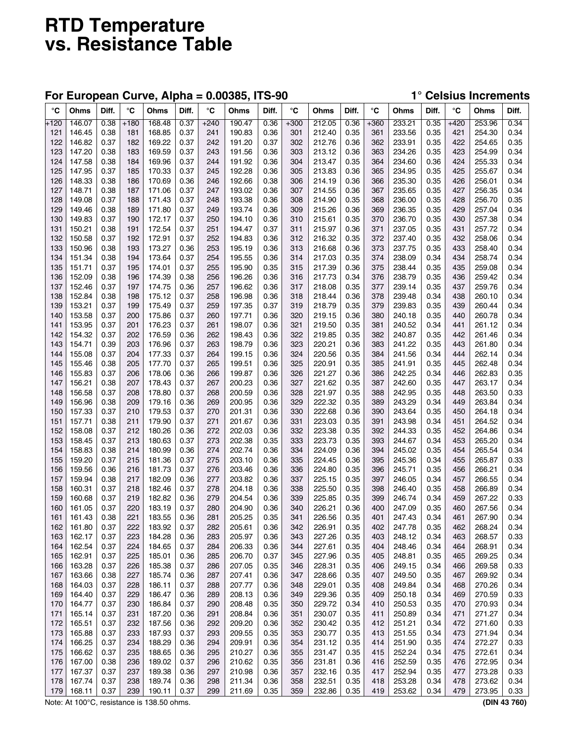# **RTD Temperature vs. Resistance Table**

### **For European Curve, Alpha = 0.00385, ITS-90 1° Celsius Increments**

| $^{\circ}$ C | Ohms             | Diff.        | $^{\circ}$ C | Ohms                                       | Diff.        | $^{\circ}$ C | Ohms             | Diff.        | $^{\circ}$ C | Ohms             | Diff.        | $^{\circ}$ C | Ohms             | Diff.        | $^{\circ}$ C | Ohms             | Diff.        |
|--------------|------------------|--------------|--------------|--------------------------------------------|--------------|--------------|------------------|--------------|--------------|------------------|--------------|--------------|------------------|--------------|--------------|------------------|--------------|
| +120         | 146.07           | 0.38         | $+180$       | 168.48                                     | 0.37         | $+240$       | 190.47           | 0.36         | $+300$       | 212.05           | 0.36         | $+360$       | 233.21           | 0.35         | $+420$       | 253.96           | 0.34         |
| 121          | 146.45           | 0.38         | 181          | 168.85                                     | 0.37         | 241          | 190.83           | 0.36         | 301          | 212.40           | 0.35         | 361          | 233.56           | 0.35         | 421          | 254.30           | 0.34         |
| 122          | 146.82           | 0.37         | 182          | 169.22                                     | 0.37         | 242          | 191.20           | 0.37         | 302          | 212.76           | 0.36         | 362          | 233.91           | 0.35         | 422          | 254.65           | 0.35         |
| 123          | 147.20           | 0.38         | 183          | 169.59                                     | 0.37         | 243          | 191.56           | 0.36         | 303          | 213.12           | 0.36         | 363          | 234.26           | 0.35         | 423          | 254.99           | 0.34         |
| 124          | 147.58           | 0.38         | 184          | 169.96                                     | 0.37         | 244          | 191.92           | 0.36         | 304          | 213.47           | 0.35         | 364          | 234.60           | 0.36         | 424          | 255.33           | 0.34         |
| 125          | 147.95           | 0.37         | 185          | 170.33                                     | 0.37         | 245          | 192.28           | 0.36         | 305          | 213.83           | 0.36         | 365          | 234.95           | 0.35         | 425          | 255.67           | 0.34         |
| 126          | 148.33           | 0.38         | 186          | 170.69                                     | 0.36         | 246          | 192.66           | 0.38         | 306          | 214.19           | 0.36         | 366          | 235.30           | 0.35         | 426          | 256.01           | 0.34         |
| 127          | 148.71           | 0.38         | 187          | 171.06                                     | 0.37         | 247          | 193.02           | 0.36         | 307          | 214.55           | 0.36         | 367          | 235.65           | 0.35         | 427          | 256.35           | 0.34         |
| 128          | 149.08           | 0.37         | 188          | 171.43                                     | 0.37         | 248          | 193.38           | 0.36         | 308          | 214.90           | 0.35         | 368          | 236.00           | 0.35         | 428          | 256.70           | 0.35         |
| 129          | 149.46           | 0.38         | 189          | 171.80<br>172.17                           | 0.37         | 249          | 193.74           | 0.36         | 309          | 215.26           | 0.36         | 369          | 236.35           | 0.35         | 429          | 257.04           | 0.34         |
| 130          | 149.83           | 0.37         | 190<br>191   | 172.54                                     | 0.37<br>0.37 | 250          | 194.10<br>194.47 | 0.36<br>0.37 | 310<br>311   | 215.61<br>215.97 | 0.35<br>0.36 | 370<br>371   | 236.70<br>237.05 | 0.35<br>0.35 | 430          | 257.38<br>257.72 | 0.34<br>0.34 |
| 131<br>132   | 150.21<br>150.58 | 0.38<br>0.37 | 192          | 172.91                                     | 0.37         | 251<br>252   | 194.83           | 0.36         | 312          | 216.32           | 0.35         | 372          | 237.40           | 0.35         | 431<br>432   | 258.06           | 0.34         |
| 133          | 150.96           | 0.38         | 193          | 173.27                                     | 0.36         | 253          | 195.19           | 0.36         | 313          | 216.68           | 0.36         | 373          | 237.75           | 0.35         | 433          | 258.40           | 0.34         |
| 134          | 151.34           | 0.38         | 194          | 173.64                                     | 0.37         | 254          | 195.55           | 0.36         | 314          | 217.03           | 0.35         | 374          | 238.09           | 0.34         | 434          | 258.74           | 0.34         |
| 135          | 151.71           | 0.37         | 195          | 174.01                                     | 0.37         | 255          | 195.90           | 0.35         | 315          | 217.39           | 0.36         | 375          | 238.44           | 0.35         | 435          | 259.08           | 0.34         |
| 136          | 152.09           | 0.38         | 196          | 174.39                                     | 0.38         | 256          | 196.26           | 0.36         | 316          | 217.73           | 0.34         | 376          | 238.79           | 0.35         | 436          | 259.42           | 0.34         |
| 137          | 152.46           | 0.37         | 197          | 174.75                                     | 0.36         | 257          | 196.62           | 0.36         | 317          | 218.08           | 0.35         | 377          | 239.14           | 0.35         | 437          | 259.76           | 0.34         |
| 138          | 152.84           | 0.38         | 198          | 175.12                                     | 0.37         | 258          | 196.98           | 0.36         | 318          | 218.44           | 0.36         | 378          | 239.48           | 0.34         | 438          | 260.10           | 0.34         |
| 139          | 153.21           | 0.37         | 199          | 175.49                                     | 0.37         | 259          | 197.35           | 0.37         | 319          | 218.79           | 0.35         | 379          | 239.83           | 0.35         | 439          | 260.44           | 0.34         |
| 140          | 153.58           | 0.37         | 200          | 175.86                                     | 0.37         | 260          | 197.71           | 0.36         | 320          | 219.15           | 0.36         | 380          | 240.18           | 0.35         | 440          | 260.78           | 0.34         |
| 141          | 153.95           | 0.37         | 201          | 176.23                                     | 0.37         | 261          | 198.07           | 0.36         | 321          | 219.50           | 0.35         | 381          | 240.52           | 0.34         | 441          | 261.12           | 0.34         |
| 142          | 154.32           | 0.37         | 202          | 176.59                                     | 0.36         | 262          | 198.43           | 0.36         | 322          | 219.85           | 0.35         | 382          | 240.87           | 0.35         | 442          | 261.46           | 0.34         |
| 143          | 154.71           | 0.39         | 203          | 176.96                                     | 0.37         | 263          | 198.79           | 0.36         | 323          | 220.21           | 0.36         | 383          | 241.22           | 0.35         | 443          | 261.80           | 0.34         |
| 144          | 155.08           | 0.37         | 204          | 177.33                                     | 0.37         | 264          | 199.15           | 0.36         | 324          | 220.56           | 0.35         | 384          | 241.56           | 0.34         | 444          | 262.14           | 0.34         |
| 145          | 155.46           | 0.38         | 205          | 177.70                                     | 0.37         | 265          | 199.51           | 0.36         | 325          | 220.91           | 0.35         | 385          | 241.91           | 0.35         | 445          | 262.48           | 0.34         |
| 146          | 155.83           | 0.37         | 206          | 178.06                                     | 0.36         | 266          | 199.87           | 0.36         | 326          | 221.27           | 0.36         | 386          | 242.25           | 0.34         | 446          | 262.83           | 0.35         |
| 147          | 156.21           | 0.38         | 207          | 178.43                                     | 0.37         | 267          | 200.23           | 0.36         | 327          | 221.62           | 0.35         | 387          | 242.60           | 0.35         | 447          | 263.17           | 0.34         |
| 148          | 156.58           | 0.37         | 208          | 178.80                                     | 0.37         | 268          | 200.59           | 0.36         | 328          | 221.97           | 0.35         | 388          | 242.95           | 0.35         | 448          | 263.50           | 0.33         |
| 149          | 156.96           | 0.38         | 209          | 179.16                                     | 0.36         | 269          | 200.95           | 0.36         | 329          | 222.32           | 0.35         | 389          | 243.29           | 0.34         | 449          | 263.84           | 0.34         |
| 150          | 157.33           | 0.37         | 210          | 179.53                                     | 0.37         | 270          | 201.31           | 0.36         | 330          | 222.68           | 0.36         | 390          | 243.64           | 0.35         | 450          | 264.18           | 0.34         |
| 151          | 157.71           | 0.38         | 211          | 179.90                                     | 0.37         | 271          | 201.67           | 0.36         | 331          | 223.03           | 0.35         | 391          | 243.98           | 0.34         | 451          | 264.52           | 0.34         |
| 152          | 158.08           | 0.37         | 212          | 180.26                                     | 0.36         | 272          | 202.03           | 0.36         | 332          | 223.38           | 0.35         | 392          | 244.33           | 0.35         | 452          | 264.86           | 0.34         |
| 153          | 158.45           | 0.37         | 213          | 180.63                                     | 0.37         | 273          | 202.38           | 0.35         | 333          | 223.73           | 0.35         | 393          | 244.67           | 0.34         | 453          | 265.20           | 0.34         |
| 154          | 158.83           | 0.38         | 214          | 180.99                                     | 0.36         | 274          | 202.74           | 0.36         | 334          | 224.09           | 0.36         | 394          | 245.02           | 0.35         | 454          | 265.54           | 0.34         |
| 155          | 159.20           | 0.37         | 215          | 181.36                                     | 0.37         | 275          | 203.10           | 0.36         | 335          | 224.45           | 0.36         | 395          | 245.36           | 0.34         | 455          | 265.87           | 0.33         |
| 156          | 159.56           | 0.36         | 216          | 181.73                                     | 0.37         | 276          | 203.46           | 0.36         | 336          | 224.80           | 0.35         | 396          | 245.71           | 0.35         | 456          | 266.21           | 0.34         |
| 157          | 159.94           | 0.38         | 217          | 182.09                                     | 0.36         | 277          | 203.82           | 0.36         | 337          | 225.15           | 0.35         | 397          | 246.05           | 0.34         | 457          | 266.55           | 0.34         |
| 158          | 160.31           | 0.37         | 218          | 182.46                                     | 0.37         | 278          | 204.18           | 0.36         | 338          | 225.50           | 0.35         | 398          | 246.40           | 0.35         | 458          | 266.89           | 0.34         |
| 159          | 160.68           | 0.37         | 219          | 182.82                                     | 0.36         | 279          | 204.54           | 0.36         | 339          | 225.85           | 0.35         | 399          | 246.74           | 0.34         | 459          | 267.22           | 0.33         |
| 160          | 161.05           | 0.37         | 220          | 183.19                                     | 0.37         | 280          | 204.90           | 0.36         | 340          | 226.21           | 0.36         | 400          | 247.09           | 0.35         | 460          | 267.56           | 0.34         |
| 161          | 161.43           | 0.38         | 221          | 183.55                                     | 0.36         | 281          | 205.25           | 0.35         | 341          | 226.56           | 0.35         | 401          | 247.43           | 0.34         | 461          | 267.90           | 0.34         |
| 162          | 161.80           | 0.37         | 222          | 183.92                                     | 0.37         | 282          | 205.61           | 0.36         | 342          | 226.91           | 0.35         | 402          | 247.78           | 0.35         | 462          | 268.24           | 0.34         |
| 163          | 162.17           | 0.37         | 223          | 184.28                                     | 0.36         | 283          | 205.97           | 0.36         | 343          | 227.26           | 0.35         | 403          | 248.12           | 0.34         | 463          | 268.57           | 0.33         |
| 164          | 162.54           | 0.37         | 224          | 184.65                                     | 0.37         | 284          | 206.33           | 0.36         | 344          | 227.61           | 0.35         | 404          | 248.46           | 0.34         | 464          | 268.91           | 0.34         |
| 165          | 162.91           | 0.37         | 225          | 185.01                                     | 0.36         | 285          | 206.70           | 0.37         | 345          | 227.96           | 0.35         | 405          | 248.81           | 0.35         | 465          | 269.25           | 0.34         |
| 166          | 163.28           | 0.37         | 226          | 185.38                                     | 0.37         | 286          | 207.05           | 0.35         | 346          | 228.31           | 0.35         | 406          | 249.15           | 0.34         | 466          | 269.58           | 0.33         |
| 167          | 163.66           | 0.38         | 227          | 185.74                                     | 0.36         | 287          | 207.41           | 0.36         | 347          | 228.66           | 0.35         | 407          | 249.50           | 0.35         | 467          | 269.92           | 0.34         |
| 168          | 164.03           | 0.37         | 228          | 186.11                                     | 0.37         | 288          | 207.77           | 0.36         | 348          | 229.01           | 0.35         | 408          | 249.84           | 0.34         | 468          | 270.26           | 0.34         |
| 169          | 164.40           | 0.37         | 229          | 186.47                                     | 0.36         | 289          | 208.13           | 0.36         | 349          | 229.36           | 0.35         | 409          | 250.18           | 0.34         | 469          | 270.59           | 0.33         |
| 170          | 164.77           | 0.37         | 230          | 186.84                                     | 0.37         | 290          | 208.48           | 0.35         | 350          | 229.72           | 0.34         | 410          | 250.53           | 0.35         | 470          | 270.93           | 0.34         |
| 171          | 165.14           | 0.37         | 231          | 187.20                                     | 0.36         | 291          | 208.84           | 0.36         | 351          | 230.07           | 0.35         | 411          | 250.89           | 0.34         | 471          | 271.27           | 0.34         |
| 172          | 165.51           | 0.37         | 232          | 187.56                                     | 0.36         | 292          | 209.20           | 0.36         | 352          | 230.42           | 0.35         | 412          | 251.21           | 0.34         | 472          | 271.60           | 0.33         |
| 173          | 165.88           | 0.37         | 233          | 187.93                                     | 0.37         | 293          | 209.55           | 0.35         | 353          | 230.77           | 0.35         | 413          | 251.55           | 0.34         | 473          | 271.94           | 0.34         |
| 174          | 166.25           | 0.37         | 234          | 188.29                                     | 0.36         | 294          | 209.91           | 0.36         | 354          | 231.12           | 0.35         | 414          | 251.90           | 0.35         | 474          | 272.27           | 0.33         |
| 175          | 166.62           | 0.37         | 235          | 188.65                                     | 0.36         | 295          | 210.27           | 0.36         | 355          | 231.47           | 0.35         | 415          | 252.24           | 0.34         | 475          | 272.61           | 0.34         |
| 176          | 167.00           | 0.38         | 236          | 189.02                                     | 0.37         | 296          | 210.62           | 0.35         | 356          | 231.81           | 0.36         | 416          | 252.59           | 0.35         | 476          | 272.95           | 0.34         |
| 177          | 167.37           | 0.37         | 237          | 189.38                                     | 0.36         | 297          | 210.98           | 0.36         | 357          | 232.16           | 0.35         | 417          | 252.94           | 0.35         | 477          | 273.28           | 0.33         |
| 178          | 167.74           | 0.37         | 238          | 189.74                                     | 0.36         | 298          | 211.34           | 0.36         | 358          | 232.51           | 0.35         | 418          | 253.28           | 0.34         | 478          | 273.62           | 0.34         |
| 179          | 168.11           | 0.37         | 239          | 190.11                                     | 0.37         | 299          | 211.69           | 0.35         | 359          | 232.86           | 0.35         | 419          | 253.62           | 0.34         | 479          | 273.95           | 0.33         |
|              |                  |              |              | Note: At 100°C, resistance is 138.50 ohms. |              |              |                  |              |              |                  |              |              |                  |              |              |                  | (DIN 43 760) |